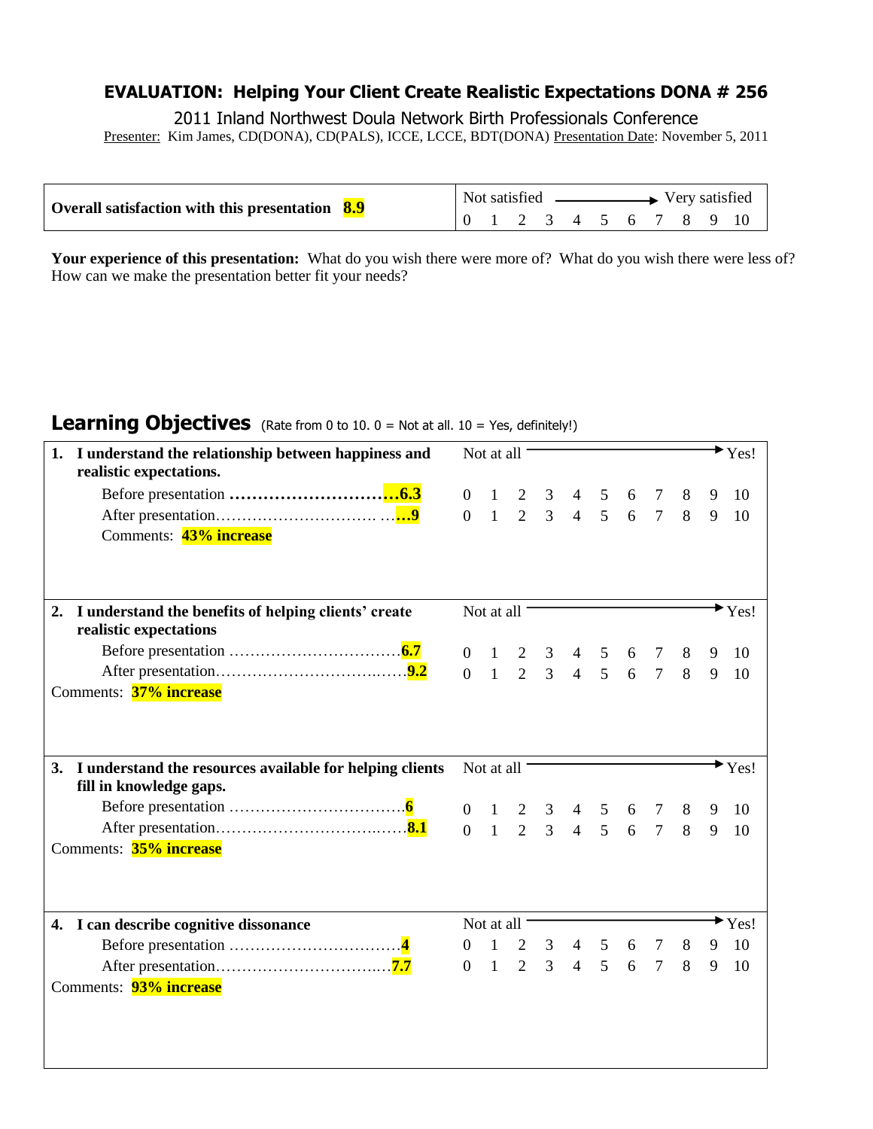### **EVALUATION: Helping Your Client Create Realistic Expectations DONA # 256**

2011 Inland Northwest Doula Network Birth Professionals Conference Presenter: Kim James, CD(DONA), CD(PALS), ICCE, LCCE, BDT(DONA) Presentation Date: November 5, 2011

| Overall satisfaction with this presentation 8.9 |  | Not satisfied — Very satisfied |  |  |  |  |  |  |  |  |  |  |
|-------------------------------------------------|--|--------------------------------|--|--|--|--|--|--|--|--|--|--|
|                                                 |  |                                |  |  |  |  |  |  |  |  |  |  |

**Your experience of this presentation:** What do you wish there were more of? What do you wish there were less of? How can we make the presentation better fit your needs?

## **1. I understand the relationship between happiness and realistic expectations.** Before presentation **…………………………6.3** After presentation…………………………. …**…9** Comments: **43% increase** Not at all  $\longrightarrow Y_{\text{es}}$ ! 0 1 2 3 4 5 6 7 8 9 10 0 1 2 3 4 5 6 7 8 9 10 **2. I understand the benefits of helping clients' create realistic expectations** Before presentation ……………………………**6.7** After presentation………………………….……**9.2** Comments: **37% increase** Not at all  $\overline{\phantom{a}}$  Yes! 0 1 2 3 4 5 6 7 8 9 10 0 1 2 3 4 5 6 7 8 9 10 **3.** I understand the resources available for helping clients Not at all  $\rightarrow$  Yes! **fill in knowledge gaps.** Before presentation …………………………….**6** After presentation………………………….……**8.1** Comments: **35% increase** 0 1 2 3 4 5 6 7 8 9 10 0 1 2 3 4 5 6 7 8 9 10 **4. I can describe cognitive dissonance** Before presentation ……………………………**4** After presentation………………………….…**7.7** Comments: **93% increase** Not at all  $\overline{\phantom{a}}$  Yes! 0 1 2 3 4 5 6 7 8 9 10 0 1 2 3 4 5 6 7 8 9 10

# **Learning Objectives** (Rate from 0 to 10. 0 = Not at all. 10 = Yes, definitely!)